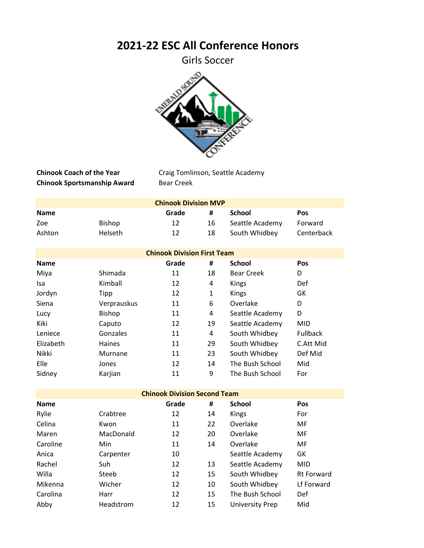## **2021-22 ESC All Conference Honors**

Girls Soccer



**Chinook Sportsmanship Award** Bear Creek

**Chinook Coach of the Year** Craig Tomlinson, Seattle Academy

| <b>Chinook Division MVP</b> |                |       |    |                 |            |  |
|-----------------------------|----------------|-------|----|-----------------|------------|--|
| <b>Name</b>                 |                | Grade | #  | School          | <b>Pos</b> |  |
| Zoe                         | Bishop         | 12    | 16 | Seattle Academy | Forward    |  |
| Ashton                      | <b>Helseth</b> | 12    | 18 | South Whidbey   | Centerback |  |

| <b>Chinook Division First Team</b> |               |       |    |                   |                 |  |
|------------------------------------|---------------|-------|----|-------------------|-----------------|--|
| <b>Name</b>                        |               | Grade | #  | <b>School</b>     | Pos             |  |
| Miya                               | Shimada       | 11    | 18 | <b>Bear Creek</b> | D               |  |
| <b>Isa</b>                         | Kimball       | 12    | 4  | Kings             | Def             |  |
| Jordyn                             | Tipp          | 12    | 1  | Kings             | GK              |  |
| Siena                              | Verprauskus   | 11    | 6  | Overlake          | D               |  |
| Lucy                               | Bishop        | 11    | 4  | Seattle Academy   | D               |  |
| Kiki                               | Caputo        | 12    | 19 | Seattle Academy   | <b>MID</b>      |  |
| Leniece                            | Gonzales      | 11    | 4  | South Whidbey     | <b>Fullback</b> |  |
| Elizabeth                          | <b>Haines</b> | 11    | 29 | South Whidbey     | C.Att Mid       |  |
| Nikki                              | Murnane       | 11    | 23 | South Whidbey     | Def Mid         |  |
| Elle                               | Jones         | 12    | 14 | The Bush School   | Mid             |  |
| Sidney                             | Karjian       | 11    | 9  | The Bush School   | For             |  |

| <b>Chinook Division Second Team</b> |           |       |    |                        |                   |  |
|-------------------------------------|-----------|-------|----|------------------------|-------------------|--|
| <b>Name</b>                         |           | Grade | #  | <b>School</b>          | Pos               |  |
| Rylie                               | Crabtree  | 12    | 14 | <b>Kings</b>           | For               |  |
| Celina                              | Kwon      | 11    | 22 | Overlake               | MF                |  |
| Maren                               | MacDonald | 12    | 20 | Overlake               | <b>MF</b>         |  |
| Caroline                            | Min       | 11    | 14 | Overlake               | <b>MF</b>         |  |
| Anica                               | Carpenter | 10    |    | Seattle Academy        | GK                |  |
| Rachel                              | Suh       | 12    | 13 | Seattle Academy        | <b>MID</b>        |  |
| Willa                               | Steeb     | 12    | 15 | South Whidbey          | <b>Rt Forward</b> |  |
| Mikenna                             | Wicher    | 12    | 10 | South Whidbey          | Lf Forward        |  |
| Carolina                            | Harr      | 12    | 15 | The Bush School        | Def               |  |
| Abby                                | Headstrom | 12    | 15 | <b>University Prep</b> | Mid               |  |